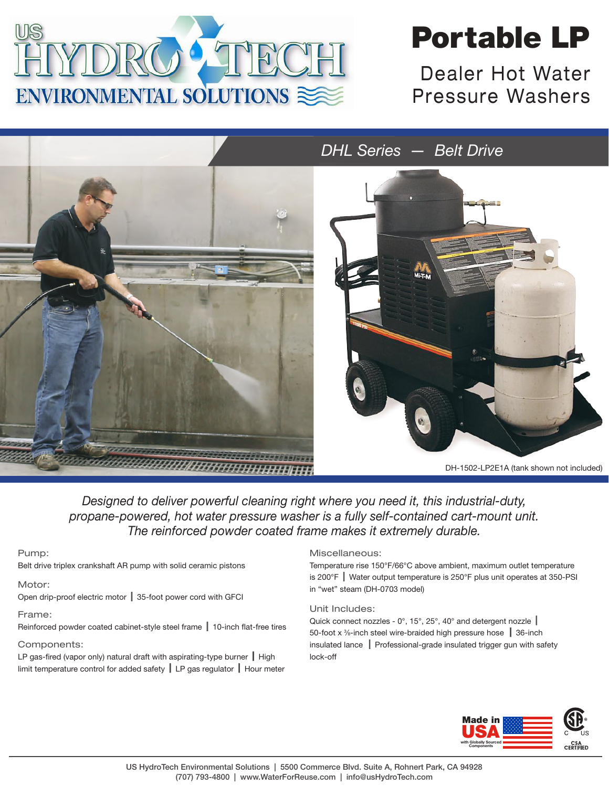

# Portable LP

Dealer Hot Water Pressure Washers



*Designed to deliver powerful cleaning right where you need it, this industrial-duty, propane-powered, hot water pressure washer is a fully self-contained cart-mount unit. The reinforced powder coated frame makes it extremely durable.*

#### Pump:

Belt drive triplex crankshaft AR pump with solid ceramic pistons

## Motor:

Open drip-proof electric motor  $\parallel$  35-foot power cord with GFCI

Frame:

Reinforced powder coated cabinet-style steel frame  $\parallel$  10-inch flat-free tires

## Components:

LP gas-fired (vapor only) natural draft with aspirating-type burner  $\parallel$  High limit temperature control for added safety  $\parallel$  LP gas regulator  $\parallel$  Hour meter

## Miscellaneous:

Temperature rise 150°F/66°C above ambient, maximum outlet temperature is 200 $\degree$ F Water output temperature is 250 $\degree$ F plus unit operates at 350-PSI in "wet" steam (DH-0703 model)

#### Unit Includes:

Quick connect nozzles -  $0^\circ$ , 15°, 25°, 40° and detergent nozzle | 50-foot x  $\frac{3}{2}$ -inch steel wire-braided high pressure hose  $\parallel$  36-inch insulated lance | Professional-grade insulated trigger gun with safety lock-off